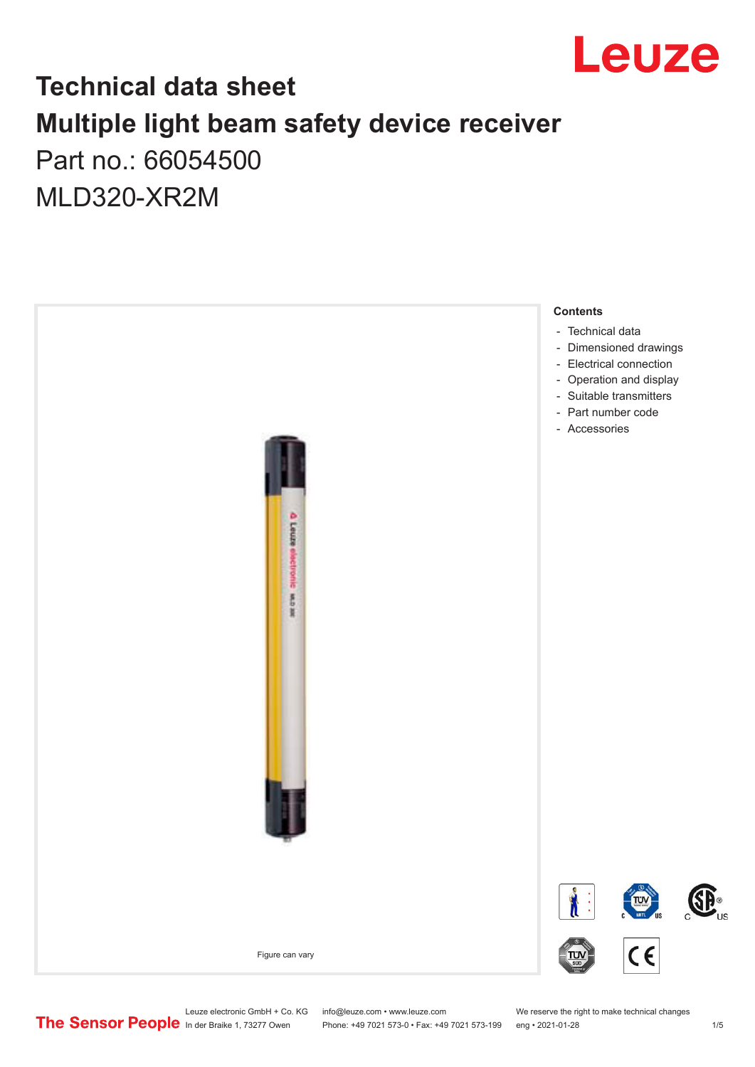

## **Technical data sheet Multiple light beam safety device receiver** Part no.: 66054500

MLD320-XR2M



Leuze electronic GmbH + Co. KG info@leuze.com • www.leuze.com We reserve the right to make technical changes<br>
The Sensor People in der Braike 1, 73277 Owen Phone: +49 7021 573-0 • Fax: +49 7021 573-199 eng • 2021-01-28

Phone: +49 7021 573-0 • Fax: +49 7021 573-199 eng • 2021-01-28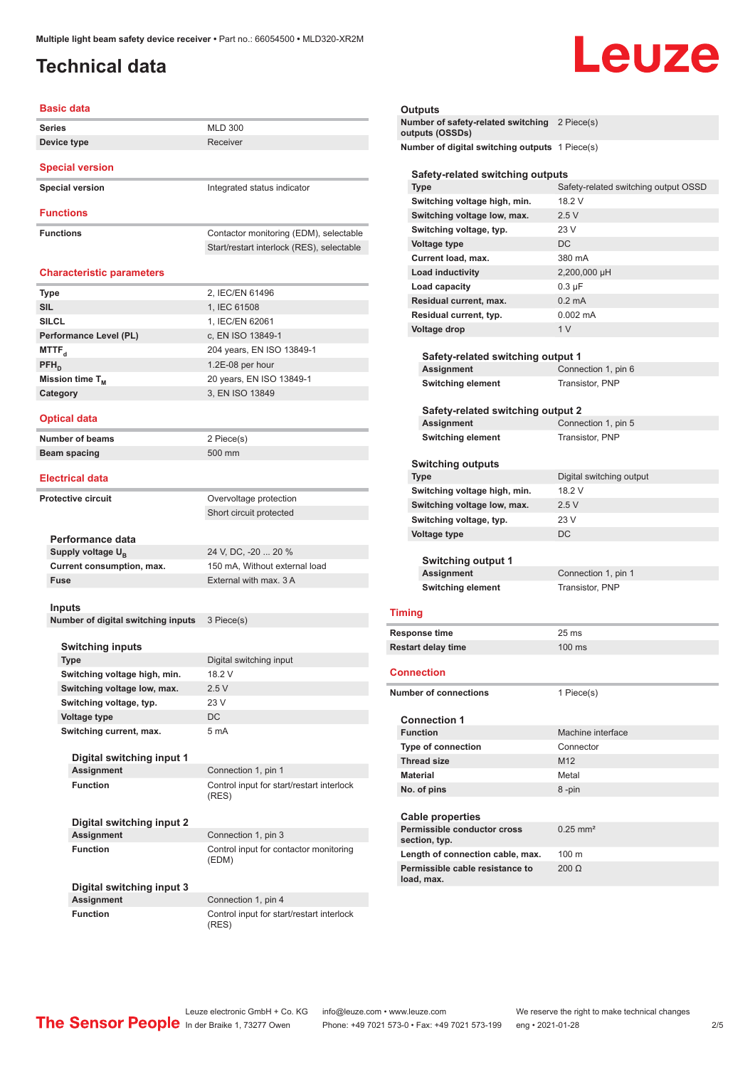## <span id="page-1-0"></span>**Technical data**

# Leuze

| <b>Basic data</b>                              |                                                    |
|------------------------------------------------|----------------------------------------------------|
| <b>Series</b>                                  | <b>MLD 300</b>                                     |
| Device type                                    | Receiver                                           |
| <b>Special version</b>                         |                                                    |
| <b>Special version</b>                         | Integrated status indicator                        |
| <b>Functions</b>                               |                                                    |
|                                                |                                                    |
| <b>Functions</b>                               | Contactor monitoring (EDM), selectable             |
|                                                | Start/restart interlock (RES), selectable          |
| <b>Characteristic parameters</b>               |                                                    |
| Type                                           | 2, IEC/EN 61496                                    |
| <b>SIL</b>                                     | 1, IEC 61508                                       |
| <b>SILCL</b>                                   | 1, IEC/EN 62061                                    |
| Performance Level (PL)                         | c, EN ISO 13849-1                                  |
| MTTF <sub>a</sub>                              | 204 years, EN ISO 13849-1                          |
| PFH <sub>D</sub>                               | 1.2E-08 per hour                                   |
| Mission time T <sub>M</sub>                    | 20 years, EN ISO 13849-1                           |
| Category                                       | 3, EN ISO 13849                                    |
|                                                |                                                    |
| <b>Optical data</b>                            |                                                    |
| <b>Number of beams</b>                         | 2 Piece(s)                                         |
| <b>Beam spacing</b>                            | 500 mm                                             |
| <b>Electrical data</b>                         |                                                    |
| <b>Protective circuit</b>                      | Overvoltage protection                             |
|                                                | Short circuit protected                            |
|                                                |                                                    |
| Performance data                               |                                                    |
| Supply voltage $U_{B}$                         | 24 V, DC, -20  20 %                                |
| Current consumption, max.                      | 150 mA, Without external load                      |
| <b>Fuse</b>                                    | External with max, 3 A                             |
|                                                |                                                    |
| Inputs                                         |                                                    |
| Number of digital switching inputs             | 3 Piece(s)                                         |
| <b>Switching inputs</b>                        |                                                    |
| Type                                           | Digital switching input                            |
| Switching voltage high, min.                   | 18.2 V                                             |
| Switching voltage low, max.                    | 2.5V                                               |
| Switching voltage, typ.                        | 23 V                                               |
| Voltage type                                   | DC                                                 |
| Switching current, max.                        | 5 mA                                               |
|                                                |                                                    |
| Digital switching input 1                      |                                                    |
| <b>Assignment</b>                              | Connection 1, pin 1                                |
| <b>Function</b>                                | Control input for start/restart interlock<br>(RES) |
|                                                |                                                    |
| Digital switching input 2                      |                                                    |
| <b>Assignment</b><br><b>Function</b>           | Connection 1, pin 3                                |
|                                                | Control input for contactor monitoring<br>(EDM)    |
|                                                |                                                    |
| Digital switching input 3<br><b>Assignment</b> | Connection 1, pin 4                                |
| <b>Function</b>                                | Control input for start/restart interlock          |
|                                                | (RES)                                              |

| Outputs                                                          |                                      |
|------------------------------------------------------------------|--------------------------------------|
| Number of safety-related switching 2 Piece(s)<br>outputs (OSSDs) |                                      |
| Number of digital switching outputs 1 Piece(s)                   |                                      |
| Safety-related switching outputs                                 |                                      |
| Type                                                             | Safety-related switching output OSSD |
| Switching voltage high, min.                                     | 18.2 V                               |
| Switching voltage low, max.                                      | 2.5V                                 |
| Switching voltage, typ.                                          | 23 V                                 |
| <b>Voltage type</b>                                              | DC                                   |
| Current load, max.                                               | 380 mA                               |
| Load inductivity                                                 | 2,200,000 µH                         |
| Load capacity                                                    | $0.3 \mu F$                          |
| Residual current, max.                                           | $0.2 \text{ mA}$                     |
| Residual current, typ.                                           | $0.002 \, \text{mA}$                 |
| Voltage drop                                                     | 1 <sub>V</sub>                       |
|                                                                  |                                      |
| Safety-related switching output 1                                |                                      |
| Assignment                                                       | Connection 1, pin 6                  |
| <b>Switching element</b>                                         | Transistor, PNP                      |
| Safety-related switching output 2                                |                                      |
| Assignment                                                       | Connection 1, pin 5                  |
| <b>Switching element</b>                                         | Transistor, PNP                      |
|                                                                  |                                      |
| <b>Switching outputs</b>                                         |                                      |
| Type                                                             | Digital switching output             |
| Switching voltage high, min.                                     | 18.2 V                               |
| Switching voltage low, max.                                      | 2.5V                                 |
| Switching voltage, typ.                                          | 23 V                                 |
| Voltage type                                                     | <b>DC</b>                            |
| Switching output 1                                               |                                      |
| Assignment                                                       | Connection 1, pin 1                  |
| <b>Switching element</b>                                         | <b>Transistor, PNP</b>               |
|                                                                  |                                      |
| <b>Timing</b>                                                    |                                      |
| <b>Response time</b>                                             | $25 \text{ ms}$                      |
| <b>Restart delay time</b>                                        | 100 ms                               |
| <b>Connection</b>                                                |                                      |
| <b>Number of connections</b>                                     | 1 Piece(s)                           |
|                                                                  |                                      |
| <b>Connection 1</b>                                              |                                      |
| <b>Function</b>                                                  | Machine interface                    |
| Type of connection                                               | Connector                            |
| <b>Thread size</b>                                               | M <sub>12</sub>                      |
| <b>Material</b>                                                  | Metal                                |
| No. of pins                                                      | 8-pin                                |
|                                                                  |                                      |
| <b>Cable properties</b>                                          |                                      |
| Permissible conductor cross<br>section, typ.                     | $0.25$ mm <sup>2</sup>               |
| Length of connection cable, max.                                 | 100 m                                |
| Permissible cable resistance to<br>load, max.                    | $200 \Omega$                         |

Leuze electronic GmbH + Co. KG info@leuze.com • www.leuze.com We reserve the right to make technical changes ln der Braike 1, 73277 Owen Phone: +49 7021 573-0 • Fax: +49 7021 573-199 eng • 2021-01-28 2/5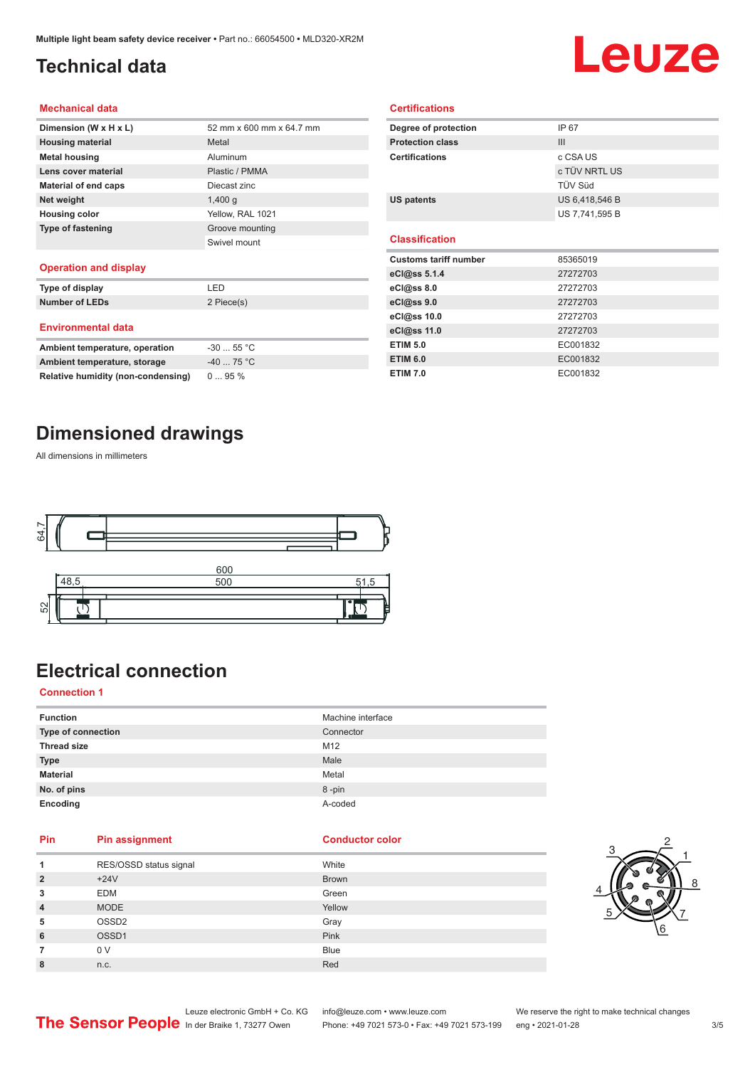## <span id="page-2-0"></span>**Technical data**

# Leuze

#### **Mechanical data**

| Dimension (W x H x L)       | 52 mm x 600 mm x 64.7 mm |
|-----------------------------|--------------------------|
| <b>Housing material</b>     | Metal                    |
| <b>Metal housing</b>        | Aluminum                 |
| Lens cover material         | Plastic / PMMA           |
| <b>Material of end caps</b> | Diecast zinc             |
| Net weight                  | $1,400$ q                |
| <b>Housing color</b>        | Yellow, RAL 1021         |
| <b>Type of fastening</b>    | Groove mounting          |
|                             | Swivel mount             |
|                             |                          |

#### **Operation and display**

| Type of display                | I FD       |  |
|--------------------------------|------------|--|
| <b>Number of LEDs</b>          | 2 Piece(s) |  |
| <b>Environmental data</b>      |            |  |
| Ambient temperature, operation | $-3055$ °C |  |
| Ambient temperature, storage   | $-4075 °C$ |  |

| Degree of protection         | IP 67          |  |
|------------------------------|----------------|--|
| <b>Protection class</b>      | III            |  |
| <b>Certifications</b>        | c CSA US       |  |
|                              | c TÜV NRTL US  |  |
|                              | TÜV Süd        |  |
| <b>US patents</b>            | US 6,418,546 B |  |
|                              | US 7,741,595 B |  |
|                              |                |  |
| <b>Classification</b>        |                |  |
|                              |                |  |
| <b>Customs tariff number</b> | 85365019       |  |
| eCl@ss 5.1.4                 | 27272703       |  |
| eCl@ss 8.0                   | 27272703       |  |
| eCl@ss 9.0                   | 27272703       |  |
| eCl@ss 10.0                  | 27272703       |  |
| eCl@ss 11.0                  | 27272703       |  |
| <b>ETIM 5.0</b>              | EC001832       |  |

**ETIM 7.0** EC001832

**Certifications**

## **Dimensioned drawings**

**Relative humidity (non-condensing)** 0 ... 95 %

All dimensions in millimeters



## **Electrical connection**

### **Connection 1**

| <b>Function</b>    | Machine interface |
|--------------------|-------------------|
| Type of connection | Connector         |
| <b>Thread size</b> | M12               |
| <b>Type</b>        | Male              |
| <b>Material</b>    | Metal             |
| No. of pins        | 8-pin             |
| Encoding           | A-coded           |

### **Pin Pin assignment Conductor Conductor Color**

| 1              | RES/OSSD status signal | White        |
|----------------|------------------------|--------------|
| $\overline{2}$ | $+24V$                 | <b>Brown</b> |
| 3              | <b>EDM</b>             | Green        |
| 4              | <b>MODE</b>            | Yellow       |
| 5              | OSSD <sub>2</sub>      | Gray         |
| 6              | OSSD1                  | Pink         |
| 7              | 0 V                    | <b>Blue</b>  |
| 8              | n.c.                   | Red          |



Leuze electronic GmbH + Co. KG info@leuze.com • www.leuze.com We reserve the right to make technical changes<br>
The Sensor People in der Braike 1, 73277 Owen Phone: +49 7021 573-0 • Fax: +49 7021 573-199 eng • 2021-01-28

Phone: +49 7021 573-0 • Fax: +49 7021 573-199 eng • 2021-01-28 3/5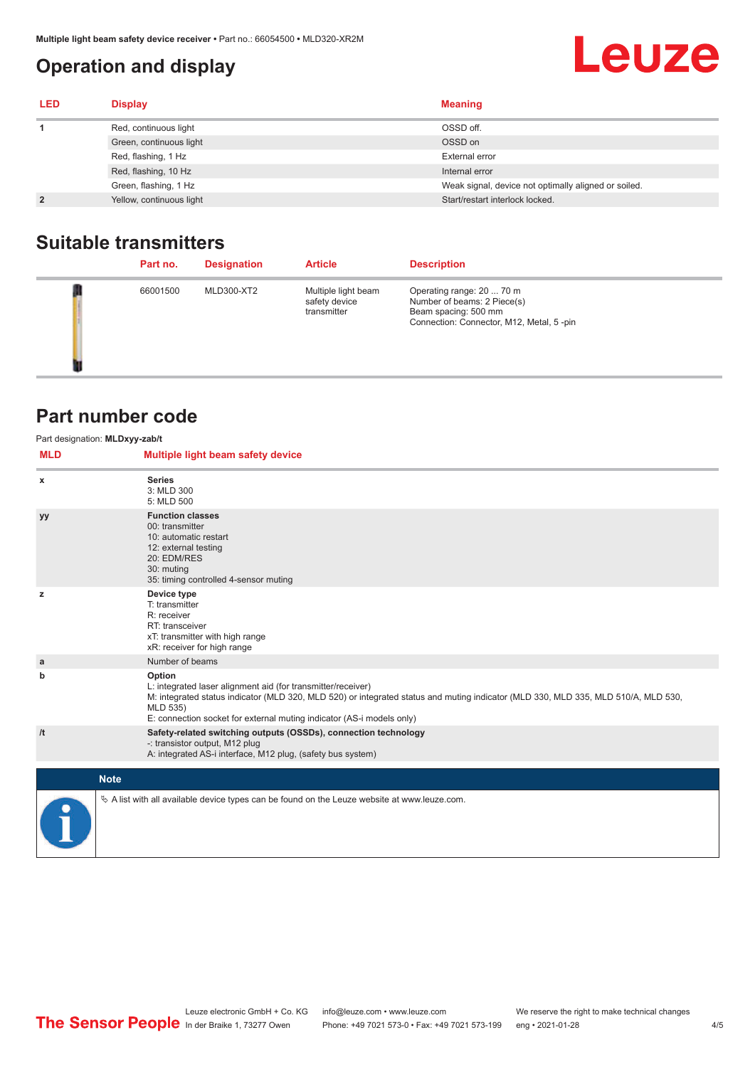## <span id="page-3-0"></span>**Operation and display**

## **Leuze**

| <b>LED</b>     | <b>Display</b>           | <b>Meaning</b>                                       |
|----------------|--------------------------|------------------------------------------------------|
|                | Red, continuous light    | OSSD off.                                            |
|                | Green, continuous light  | OSSD on                                              |
|                | Red, flashing, 1 Hz      | External error                                       |
|                | Red, flashing, 10 Hz     | Internal error                                       |
|                | Green, flashing, 1 Hz    | Weak signal, device not optimally aligned or soiled. |
| $\overline{2}$ | Yellow, continuous light | Start/restart interlock locked.                      |

## **Suitable transmitters**

| Part no. | <b>Designation</b> | <b>Article</b>                                      | <b>Description</b>                                                                                                           |
|----------|--------------------|-----------------------------------------------------|------------------------------------------------------------------------------------------------------------------------------|
| 66001500 | MLD300-XT2         | Multiple light beam<br>safety device<br>transmitter | Operating range: 20  70 m<br>Number of beams: 2 Piece(s)<br>Beam spacing: 500 mm<br>Connection: Connector, M12, Metal, 5-pin |

## **Part number code**

| <b>MLD</b> | Part designation: MLDxyy-zab/t<br>Multiple light beam safety device                                                                                                                                                                                                                               |
|------------|---------------------------------------------------------------------------------------------------------------------------------------------------------------------------------------------------------------------------------------------------------------------------------------------------|
| x          | <b>Series</b><br>3: MLD 300<br>5: MLD 500                                                                                                                                                                                                                                                         |
| уу         | <b>Function classes</b><br>00: transmitter<br>10: automatic restart<br>12: external testing<br>20: EDM/RES<br>30: muting<br>35: timing controlled 4-sensor muting                                                                                                                                 |
| z          | Device type<br>T: transmitter<br>R: receiver<br>RT: transceiver<br>xT: transmitter with high range<br>xR: receiver for high range                                                                                                                                                                 |
| a          | Number of beams                                                                                                                                                                                                                                                                                   |
| b          | Option<br>L: integrated laser alignment aid (for transmitter/receiver)<br>M: integrated status indicator (MLD 320, MLD 520) or integrated status and muting indicator (MLD 330, MLD 335, MLD 510/A, MLD 530,<br>MLD 535)<br>E: connection socket for external muting indicator (AS-i models only) |
| /t         | Safety-related switching outputs (OSSDs), connection technology<br>-: transistor output, M12 plug<br>A: integrated AS-i interface, M12 plug, (safety bus system)                                                                                                                                  |
|            | <b>Note</b>                                                                                                                                                                                                                                                                                       |
|            | $\&$ A list with all available device types can be found on the Leuze website at www.leuze.com.                                                                                                                                                                                                   |